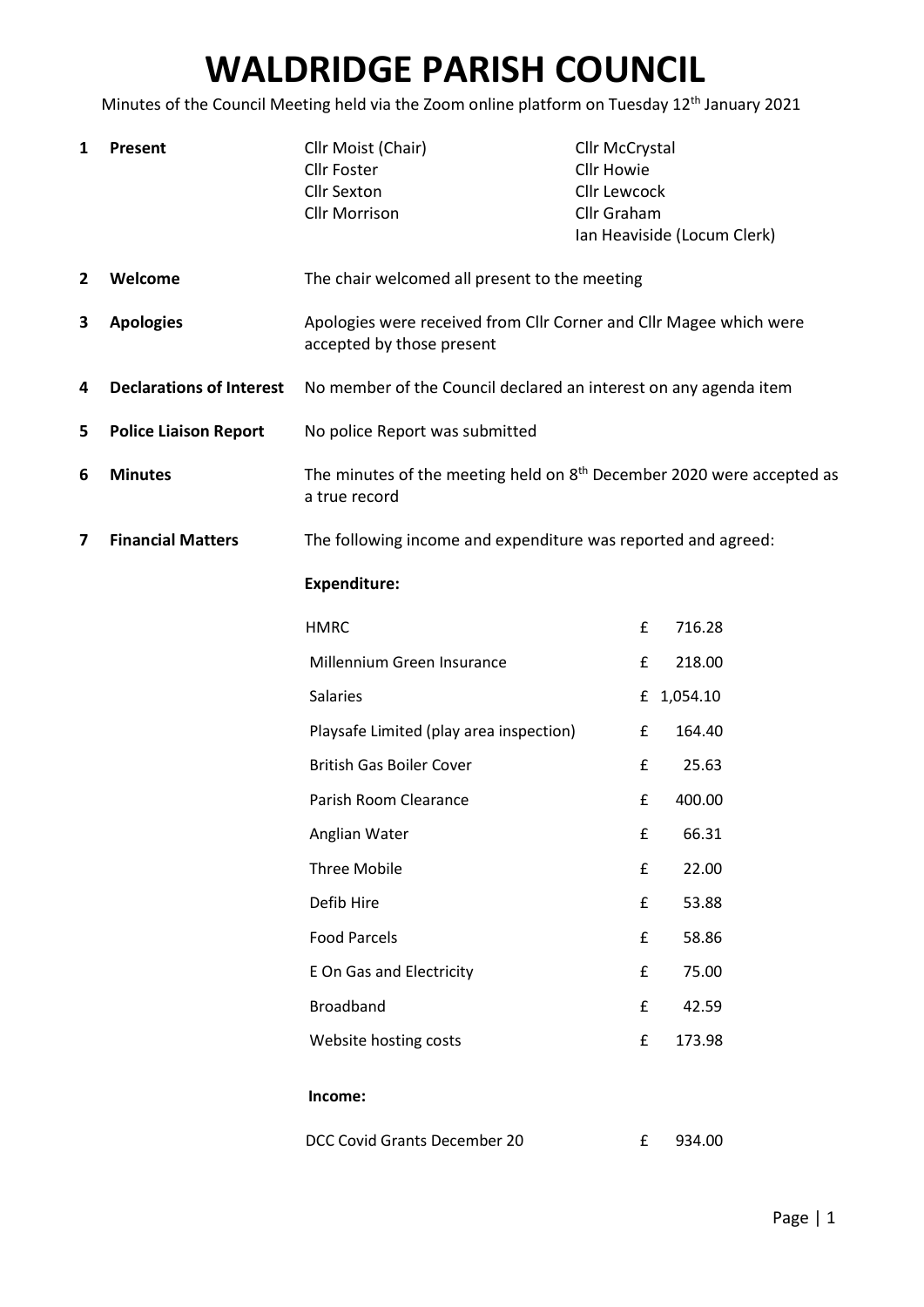## WALDRIDGE PARISH COUNCIL

Minutes of the Council Meeting held via the Zoom online platform on Tuesday 12<sup>th</sup> January 2021

| 1 | Present                         | Cllr Moist (Chair)<br><b>Cllr Foster</b><br><b>Cllr Sexton</b><br><b>Cllr Morrison</b>          | Cllr McCrystal<br><b>Cllr Howie</b><br>Cllr Lewcock<br>Cllr Graham<br>Ian Heaviside (Locum Clerk) |            |  |
|---|---------------------------------|-------------------------------------------------------------------------------------------------|---------------------------------------------------------------------------------------------------|------------|--|
| 2 | Welcome                         | The chair welcomed all present to the meeting                                                   |                                                                                                   |            |  |
| 3 | <b>Apologies</b>                | Apologies were received from Cllr Corner and Cllr Magee which were<br>accepted by those present |                                                                                                   |            |  |
| 4 | <b>Declarations of Interest</b> | No member of the Council declared an interest on any agenda item                                |                                                                                                   |            |  |
| 5 | <b>Police Liaison Report</b>    | No police Report was submitted                                                                  |                                                                                                   |            |  |
| 6 | <b>Minutes</b>                  | The minutes of the meeting held on $8th$ December 2020 were accepted as<br>a true record        |                                                                                                   |            |  |
| 7 | <b>Financial Matters</b>        | The following income and expenditure was reported and agreed:                                   |                                                                                                   |            |  |
|   |                                 | <b>Expenditure:</b>                                                                             |                                                                                                   |            |  |
|   |                                 | <b>HMRC</b>                                                                                     | £                                                                                                 | 716.28     |  |
|   |                                 | Millennium Green Insurance                                                                      | £                                                                                                 | 218.00     |  |
|   |                                 | <b>Salaries</b>                                                                                 |                                                                                                   | £ 1,054.10 |  |
|   |                                 | Playsafe Limited (play area inspection)                                                         | £                                                                                                 | 164.40     |  |
|   |                                 | <b>British Gas Boiler Cover</b>                                                                 | £                                                                                                 | 25.63      |  |
|   |                                 | Parish Room Clearance                                                                           | £                                                                                                 | 400.00     |  |
|   |                                 | Anglian Water                                                                                   | £                                                                                                 | 66.31      |  |
|   |                                 | <b>Three Mobile</b>                                                                             | £                                                                                                 | 22.00      |  |
|   |                                 | Defib Hire                                                                                      | £                                                                                                 | 53.88      |  |
|   |                                 | <b>Food Parcels</b>                                                                             | £                                                                                                 | 58.86      |  |
|   |                                 | E On Gas and Electricity                                                                        | £                                                                                                 | 75.00      |  |
|   |                                 | <b>Broadband</b>                                                                                | £                                                                                                 | 42.59      |  |
|   |                                 | Website hosting costs                                                                           | £                                                                                                 | 173.98     |  |
|   |                                 | Income:                                                                                         |                                                                                                   |            |  |
|   |                                 | DCC Covid Grants December 20                                                                    | £                                                                                                 | 934.00     |  |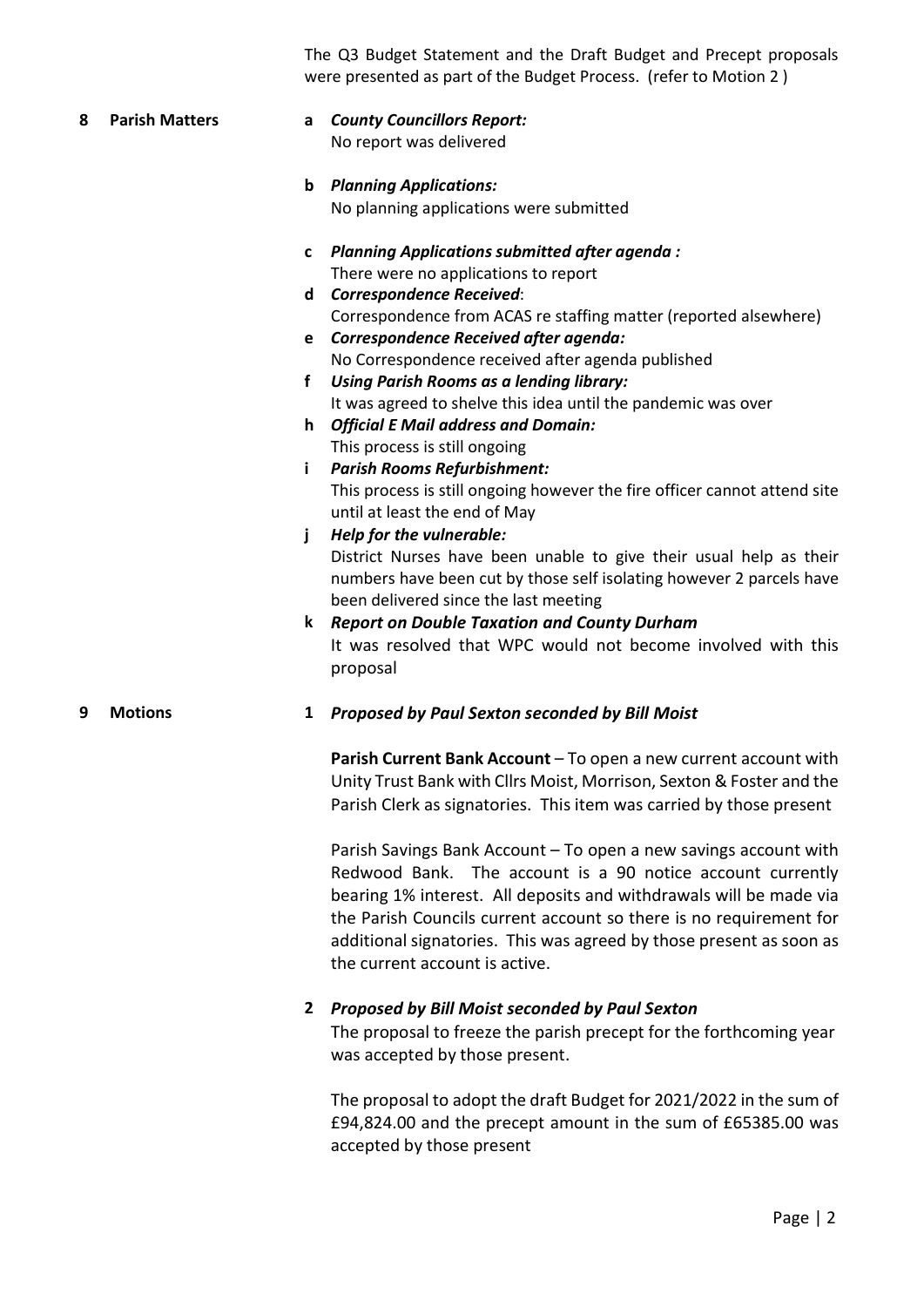The Q3 Budget Statement and the Draft Budget and Precept proposals were presented as part of the Budget Process. (refer to Motion 2 )

8 Parish Matters a County Councillors Report: No report was delivered b Planning Applications: No planning applications were submitted c Planning Applications submitted after agenda : There were no applications to report d Correspondence Received: Correspondence from ACAS re staffing matter (reported alsewhere) e Correspondence Received after agenda: No Correspondence received after agenda published f Using Parish Rooms as a lending library: It was agreed to shelve this idea until the pandemic was over h Official E Mail address and Domain: This process is still ongoing i Parish Rooms Refurbishment: This process is still ongoing however the fire officer cannot attend site until at least the end of May j Help for the vulnerable: District Nurses have been unable to give their usual help as their numbers have been cut by those self isolating however 2 parcels have been delivered since the last meeting k Report on Double Taxation and County Durham It was resolved that WPC would not become involved with this proposal

## 9 Motions 1 Proposed by Paul Sexton seconded by Bill Moist

Parish Current Bank Account – To open a new current account with Unity Trust Bank with Cllrs Moist, Morrison, Sexton & Foster and the Parish Clerk as signatories. This item was carried by those present

Parish Savings Bank Account – To open a new savings account with Redwood Bank. The account is a 90 notice account currently bearing 1% interest. All deposits and withdrawals will be made via the Parish Councils current account so there is no requirement for additional signatories. This was agreed by those present as soon as the current account is active.

## 2 Proposed by Bill Moist seconded by Paul Sexton

The proposal to freeze the parish precept for the forthcoming year was accepted by those present.

The proposal to adopt the draft Budget for 2021/2022 in the sum of £94,824.00 and the precept amount in the sum of £65385.00 was accepted by those present